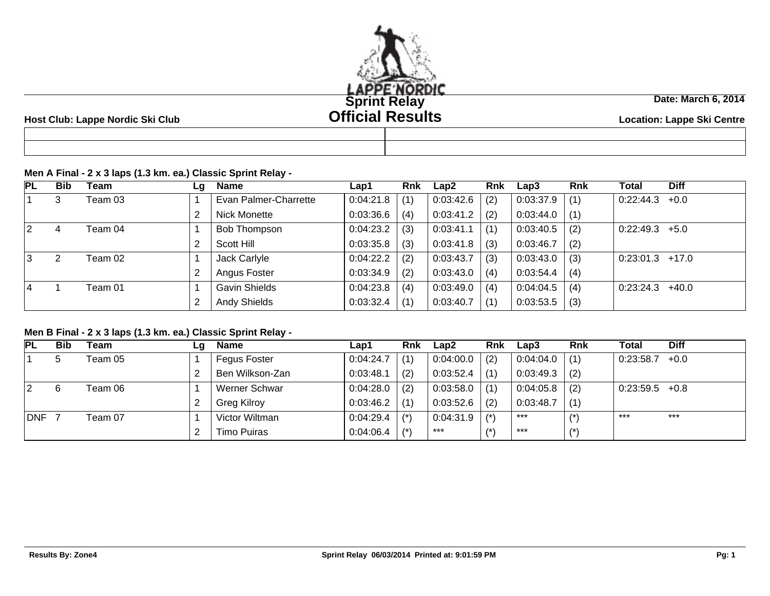

#### **Host Club: Lappe Nordic Ski Club Location: Lappe Ski Centre**

# **Date: March 6, 2014**

### **Men A Final - 2 x 3 laps (1.3 km. ea.) Classic Sprint Relay -**

| <b>PL</b>      | <b>Bib</b> | Team    | Lg | <b>Name</b>           | Lap1      | Rnk | Lap2      | <b>Rnk</b> | Lap3      | <b>Rnk</b> | Total             | <b>Diff</b> |
|----------------|------------|---------|----|-----------------------|-----------|-----|-----------|------------|-----------|------------|-------------------|-------------|
|                | 3          | Team 03 |    | Evan Palmer-Charrette | 0:04:21.8 | (1) | 0:03:42.6 | (2)        | 0:03:37.9 | (1)        | 0:22:44.3         | $+0.0$      |
|                |            |         |    | Nick Monette          | 0:03:36.6 | (4) | 0:03:41.2 | (2)        | 0:03:44.0 | (1)        |                   |             |
| <u> 2</u>      | 4          | Team 04 |    | <b>Bob Thompson</b>   | 0:04:23.2 | (3) | 0:03:41.1 | (1)        | 0:03:40.5 | (2)        | $0.22:49.3$ +5.0  |             |
|                |            |         |    | Scott Hill            | 0:03:35.8 | (3) | 0:03:41.8 | (3)        | 0:03:46.7 | (2)        |                   |             |
| 3              | າ          | Team 02 |    | Jack Carlyle          | 0:04:22.2 | (2) | 0:03:43.7 | (3)        | 0:03:43.0 | (3)        | $0:23:01.3$ +17.0 |             |
|                |            |         |    | Angus Foster          | 0:03:34.9 | (2) | 0:03:43.0 | (4)        | 0:03:54.4 | (4)        |                   |             |
| $\overline{4}$ |            | Team 01 |    | <b>Gavin Shields</b>  | 0:04:23.8 | (4) | 0:03:49.0 | (4)        | 0:04:04.5 | (4)        | 0:23:24.3         | $+40.0$     |
|                |            |         |    | <b>Andy Shields</b>   | 0:03:32.4 | (1) | 0:03:40.7 | (1)        | 0:03:53.5 | (3)        |                   |             |

### **Men B Final - 2 x 3 laps (1.3 km. ea.) Classic Sprint Relay -**

| <b>PL</b>  | <b>Bib</b> | Team    | Lg | Name                | Lap1      | Rnk   | Lap2      | Rnk   | Lap3            | <b>Rnk</b>     | Total            | <b>Diff</b> |
|------------|------------|---------|----|---------------------|-----------|-------|-----------|-------|-----------------|----------------|------------------|-------------|
|            | 5          | Team 05 |    | <b>Fegus Foster</b> | 0.04:24.7 | (1)   | 0:04:00.0 | (2)   | 0.04:04.0       | (1)            | 0:23:58.7        | $+0.0$      |
|            |            |         |    | Ben Wilkson-Zan     | 0:03:48.1 | (2)   | 0:03:52.4 | (1)   | $0.03:49.3$ (2) |                |                  |             |
| 2          | 6          | Team 06 |    | Werner Schwar       | 0.04:28.0 | (2)   | 0:03:58.0 | (1)   | 0:04:05.8       | (2)            | $0:23:59.5$ +0.8 |             |
|            |            |         | 2  | <b>Greg Kilroy</b>  | 0:03:46.2 | (1)   | 0:03:52.6 | (2)   | 0:03:48.7       | (1)            |                  |             |
| <b>DNF</b> |            | Team 07 |    | Victor Wiltman      | 0:04:29.4 | $(*)$ | 0:04:31.9 | $(*)$ | ***             | $\overline{1}$ | $***$            | $***$       |
|            |            |         |    | Timo Puiras         | 0:04:06.4 | $(*)$ | ***       | $4 +$ | $***$           |                |                  |             |